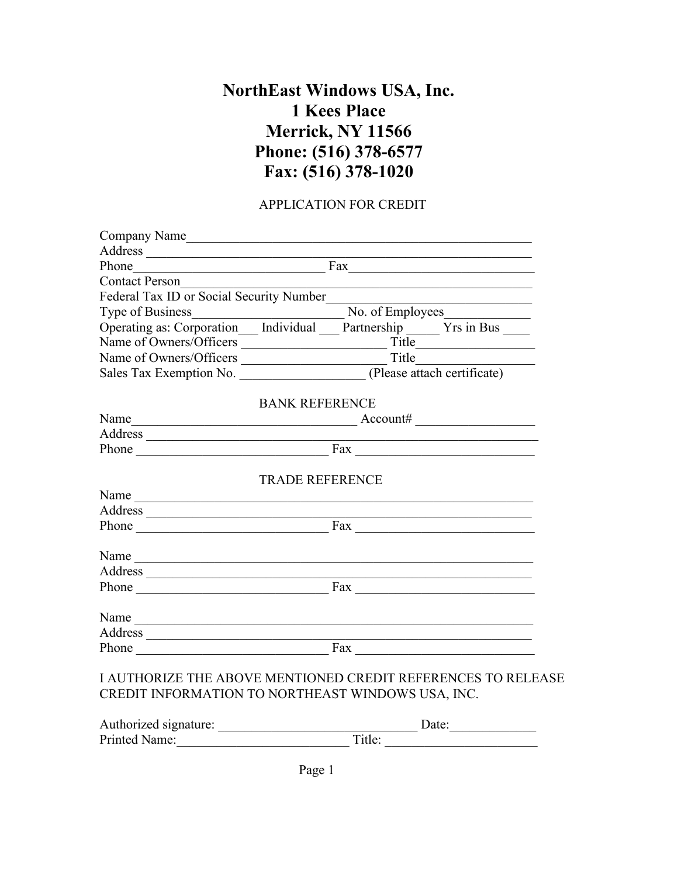## **NorthEast Windows USA, Inc. 1 Kees Place Merrick, NY 11566 Phone: (516) 378-6577 Fax: (516) 378-1020**

## APPLICATION FOR CREDIT

| Company Name                                                                                                      |                                                                                                                                                                                                                                  |  |  |  |  |
|-------------------------------------------------------------------------------------------------------------------|----------------------------------------------------------------------------------------------------------------------------------------------------------------------------------------------------------------------------------|--|--|--|--|
|                                                                                                                   |                                                                                                                                                                                                                                  |  |  |  |  |
|                                                                                                                   | Phone Fax                                                                                                                                                                                                                        |  |  |  |  |
| <b>Contact Person</b>                                                                                             |                                                                                                                                                                                                                                  |  |  |  |  |
| Federal Tax ID or Social Security Number                                                                          |                                                                                                                                                                                                                                  |  |  |  |  |
|                                                                                                                   | Type of Business<br>Operating as: Corporation Individual Mo. of Employees No. of Employees Trs in Bus Trs in Bus Individual Mo. of Employees Trs in Bus Individual Mo. of Employees Trs in Bus Individual Tracking Mo. of Employ |  |  |  |  |
|                                                                                                                   |                                                                                                                                                                                                                                  |  |  |  |  |
|                                                                                                                   |                                                                                                                                                                                                                                  |  |  |  |  |
|                                                                                                                   |                                                                                                                                                                                                                                  |  |  |  |  |
|                                                                                                                   |                                                                                                                                                                                                                                  |  |  |  |  |
|                                                                                                                   | <b>BANK REFERENCE</b>                                                                                                                                                                                                            |  |  |  |  |
|                                                                                                                   | Name $\_\_\_\_\_\_$ Account#                                                                                                                                                                                                     |  |  |  |  |
|                                                                                                                   |                                                                                                                                                                                                                                  |  |  |  |  |
| Phone Fax Fax                                                                                                     |                                                                                                                                                                                                                                  |  |  |  |  |
|                                                                                                                   | <b>TRADE REFERENCE</b>                                                                                                                                                                                                           |  |  |  |  |
| Name                                                                                                              |                                                                                                                                                                                                                                  |  |  |  |  |
|                                                                                                                   |                                                                                                                                                                                                                                  |  |  |  |  |
|                                                                                                                   | Phone Fax Fax                                                                                                                                                                                                                    |  |  |  |  |
| Name                                                                                                              |                                                                                                                                                                                                                                  |  |  |  |  |
|                                                                                                                   |                                                                                                                                                                                                                                  |  |  |  |  |
|                                                                                                                   | Phone Fax Fax Fax                                                                                                                                                                                                                |  |  |  |  |
| Name                                                                                                              |                                                                                                                                                                                                                                  |  |  |  |  |
|                                                                                                                   |                                                                                                                                                                                                                                  |  |  |  |  |
| Phone Fax Fax                                                                                                     |                                                                                                                                                                                                                                  |  |  |  |  |
| I AUTHORIZE THE ABOVE MENTIONED CREDIT REFERENCES TO RELEASE<br>CREDIT INFORMATION TO NORTHEAST WINDOWS USA, INC. |                                                                                                                                                                                                                                  |  |  |  |  |

| Authorized signature: | Date:  |
|-----------------------|--------|
| <b>Printed Name:</b>  | Title: |

Page 1